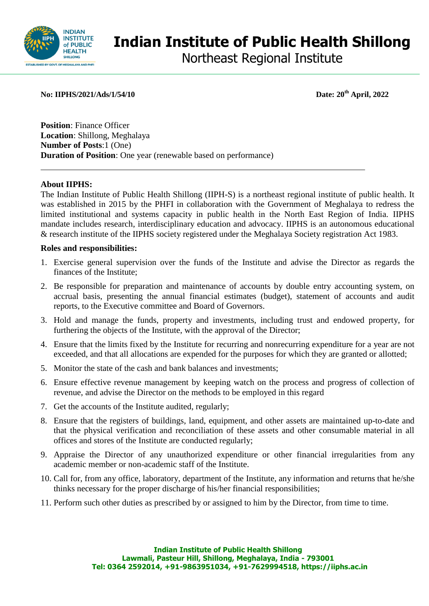

# **Indian Institute of Public Health Shillong**

Northeast Regional Institute

**No: IIPHS/2021/Ads/1/54/10 Date: 20th April, 2022**

**Position**: Finance Officer **Location**: Shillong, Meghalaya **Number of Posts**:1 (One) **Duration of Position**: One year (renewable based on performance)

#### **About IIPHS:**

The Indian Institute of Public Health Shillong (IIPH-S) is a northeast regional institute of public health. It was established in 2015 by the PHFI in collaboration with the Government of Meghalaya to redress the limited institutional and systems capacity in public health in the North East Region of India. IIPHS mandate includes research, interdisciplinary education and advocacy. IIPHS is an autonomous educational & research institute of the IIPHS society registered under the Meghalaya Society registration Act 1983.

#### **Roles and responsibilities:**

- 1. Exercise general supervision over the funds of the Institute and advise the Director as regards the finances of the Institute;
- 2. Be responsible for preparation and maintenance of accounts by double entry accounting system, on accrual basis, presenting the annual financial estimates (budget), statement of accounts and audit reports, to the Executive committee and Board of Governors.
- 3. Hold and manage the funds, property and investments, including trust and endowed property, for furthering the objects of the Institute, with the approval of the Director;
- 4. Ensure that the limits fixed by the Institute for recurring and nonrecurring expenditure for a year are not exceeded, and that all allocations are expended for the purposes for which they are granted or allotted;
- 5. Monitor the state of the cash and bank balances and investments;
- 6. Ensure effective revenue management by keeping watch on the process and progress of collection of revenue, and advise the Director on the methods to be employed in this regard
- 7. Get the accounts of the Institute audited, regularly;
- 8. Ensure that the registers of buildings, land, equipment, and other assets are maintained up-to-date and that the physical verification and reconciliation of these assets and other consumable material in all offices and stores of the Institute are conducted regularly;
- 9. Appraise the Director of any unauthorized expenditure or other financial irregularities from any academic member or non-academic staff of the Institute.
- 10. Call for, from any office, laboratory, department of the Institute, any information and returns that he/she thinks necessary for the proper discharge of his/her financial responsibilities;
- 11. Perform such other duties as prescribed by or assigned to him by the Director, from time to time.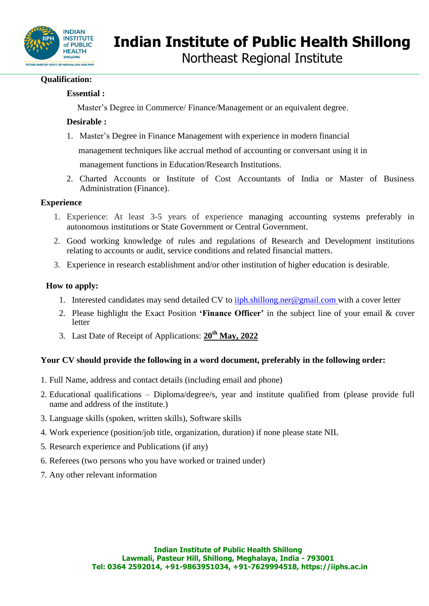

## **Qualification:**

## **Essential :**

Master's Degree in Commerce/ Finance/Management or an equivalent degree.

## **Desirable :**

- 1. Master's Degree in Finance Management with experience in modern financial management techniques like accrual method of accounting or conversant using it in management functions in Education/Research Institutions.
- 2. Charted Accounts or Institute of Cost Accountants of India or Master of Business Administration (Finance).

## **Experience**

- 1. Experience: At least 3-5 years of experience managing accounting systems preferably in autonomous institutions or State Government or Central Government.
- 2. Good working knowledge of rules and regulations of Research and Development institutions relating to accounts or audit, service conditions and related financial matters.
- 3. Experience in research establishment and/or other institution of higher education is desirable.

## **How to apply:**

- 1. Interested candidates may send detailed CV to  $\frac{i}{p}h \cdot \frac{s}{p}$  and  $\frac{e}{m}$  with a cover letter
- 2. Please highlight the Exact Position **'Finance Officer'** in the subject line of your email & cover letter
- 3. Last Date of Receipt of Applications: **20th May, 2022**

## **Your CV should provide the following in a word document, preferably in the following order:**

- 1. Full Name, address and contact details (including email and phone)
- 2. Educational qualifications Diploma/degree/s, year and institute qualified from (please provide full name and address of the institute.)
- 3. Language skills (spoken, written skills), Software skills
- 4. Work experience (position/job title, organization, duration) if none please state NIL
- 5. Research experience and Publications (if any)
- 6. Referees (two persons who you have worked or trained under)
- 7. Any other relevant information